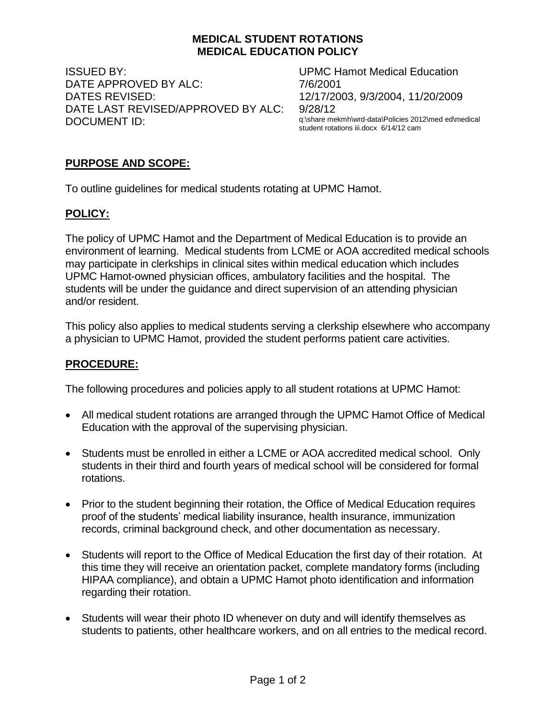#### **MEDICAL STUDENT ROTATIONS MEDICAL EDUCATION POLICY**

ISSUED BY: UPMC Hamot Medical Education DATE APPROVED BY ALC: 7/6/2001 DATES REVISED: 12/17/2003, 9/3/2004, 11/20/2009 DATE LAST REVISED/APPROVED BY ALC: 9/28/12 DOCUMENT ID: q:\share mekmh\wrd-data\Policies 2012\med ed\medical

student rotations iii.docx 6/14/12 cam

## **PURPOSE AND SCOPE:**

To outline guidelines for medical students rotating at UPMC Hamot.

#### **POLICY:**

The policy of UPMC Hamot and the Department of Medical Education is to provide an environment of learning. Medical students from LCME or AOA accredited medical schools may participate in clerkships in clinical sites within medical education which includes UPMC Hamot-owned physician offices, ambulatory facilities and the hospital. The students will be under the guidance and direct supervision of an attending physician and/or resident.

This policy also applies to medical students serving a clerkship elsewhere who accompany a physician to UPMC Hamot, provided the student performs patient care activities.

#### **PROCEDURE:**

The following procedures and policies apply to all student rotations at UPMC Hamot:

- All medical student rotations are arranged through the UPMC Hamot Office of Medical Education with the approval of the supervising physician.
- Students must be enrolled in either a LCME or AOA accredited medical school. Only students in their third and fourth years of medical school will be considered for formal rotations.
- Prior to the student beginning their rotation, the Office of Medical Education requires proof of the students' medical liability insurance, health insurance, immunization records, criminal background check, and other documentation as necessary.
- Students will report to the Office of Medical Education the first day of their rotation. At this time they will receive an orientation packet, complete mandatory forms (including HIPAA compliance), and obtain a UPMC Hamot photo identification and information regarding their rotation.
- Students will wear their photo ID whenever on duty and will identify themselves as students to patients, other healthcare workers, and on all entries to the medical record.